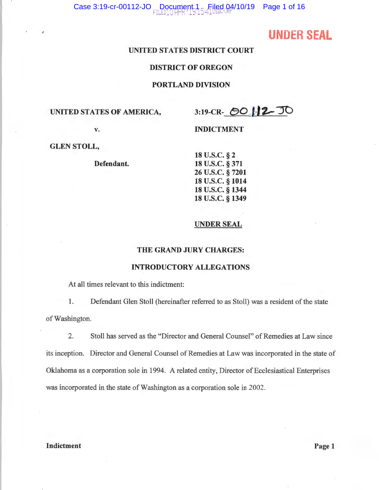# **UNDER SEAL**

# **UNITED STATES DISTRICT COURT**

### **DISTRICT OF OREGON**

#### **PORTLAND DIVISION**

UNITED STATES OF AMERICA,  $3:19\text{-CR}$   $\bigcirc$  **2.** JO

v. **INDICTMENT** 

**GLEN STOLL,** 

**Defendant.** 

**u.s.c.** § **2 u.s.c.** § **371 u.s.c.** § **7201 u.s.c.** § **1014 u.s.c.** § **1344 u.s.c.** § **1349** 

#### **UNDER SEAL**

### **THE GRAND JURY CHARGES:**

# **INTRODUCTORY ALLEGATIONS**

At all times relevant to this indictment:

1. Defendant Glen Stoll (hereinafter referred to as Stoll) was a resident of the state of Washington.

2. Stoll has served as the "Director and General Counsel" of Remedies at Law since its inception. Director and General Counsel of Remedies at Law was incorporated in the state of Oklahoma as a corporation sole in 1994. A related entity, Director of Ecclesiastical Enterprises was incorporated in the state of Washington as a corporation sole in 2002.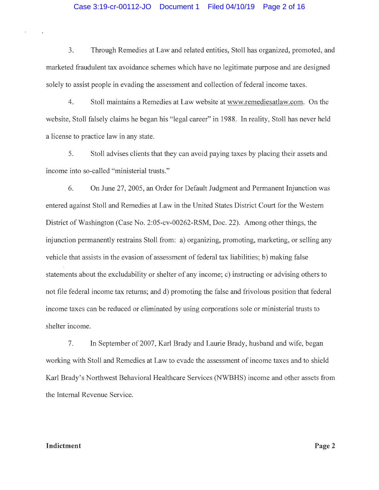### Case 3:19-cr-00112-JO Document 1 Filed 04/10/19 Page 2 of 16

3. Through Remedies at Law and related entities, Stoll has organized, promoted, and marketed fraudulent tax avoidance schemes which have no legitimate purpose and are designed solely to assist people in evading the assessment and collection of federal income taxes.

4. Stoll maintains a Remedies at Law website at www.remediesatlaw.com. On the website, Stoll falsely claims he began his "legal career" in 1988. In reality, Stoll has never held a license to practice law in any state.

5. Stoll advises clients that they can avoid paying taxes by placing their assets and income into so-called "ministerial trusts."

6. On June 27, 2005, an Order for Default Judgment and Permanent Injunction was entered against Stoll and Remedies at Law in the United States District Court for the Western District of Washington (Case No. 2:05-cv-00262-RSM, Doc. 22). Among other things, the injunction permanently restrains Stoll from: a) organizing, promoting, marketing, or selling any vehicle that assists in the evasion of assessment of federal tax liabilities; b) making false statements about the excludability or shelter of any income; c) instructing or advising others to not file federal income tax returns; and d) promoting the false and frivolous position that federal income taxes can be reduced or eliminated by using corporations sole or ministerial trusts to shelter income.

7. In September of 2007, Karl Brady and Laurie Brady, husband and wife, began working with Stoll and Remedies at Law to evade the assessment of income taxes and to shield Karl Brady's Northwest Behavioral Healthcare Services (NWBHS) income and other assets from the Internal Revenue Service.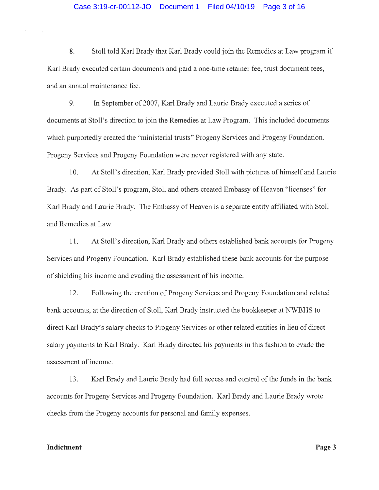8. Stoll told Karl Brady that Karl Brady could join the Remedies at Law program if Karl Brady executed certain documents and paid a one-time retainer fee, trust document fees, and an annual maintenance fee.

9. In September of 2007, Karl Brady and Laurie Brady executed a series of documents at Stoll's direction to join the Remedies at Law Program. This included documents which purportedly created the "ministerial trusts" Progeny Services and Progeny Foundation. Progeny Services and Progeny Foundation were never registered with any state.

10. At Stoll's direction, Karl Brady provided Stoll with pictures of himself and Laurie Brady. As part of Stoll's program, Stoll and others created Embassy of Heaven "licenses" for Karl Brady and Laurie Brady. The Embassy of Heaven is a separate entity affiliated with Stoll and Remedies at Law.

11. At Stoll's direction, Karl Brady and others established bank accounts for Progeny Services and Progeny Foundation. Karl Brady established these bank accounts for the purpose of shielding his income and evading the assessment of his income.

12. Following the creation of Progeny Services and Progeny Foundation and related bank accounts, at the direction of Stoll, Karl Brady instructed the bookkeeper at NWBHS to direct Karl Brady's salary checks to Progeny Services or other related entities in lieu of direct salary payments to Karl Brady. Karl Brady directed his payments in this fashion to evade the assessment of income.

13. Karl Brady and Laurie Brady had full access and control of the funds in the bank accounts for Progeny Services and Progeny Foundation. Karl Brady and Laurie Brady wrote checks from the Progeny accounts for personal and family expenses.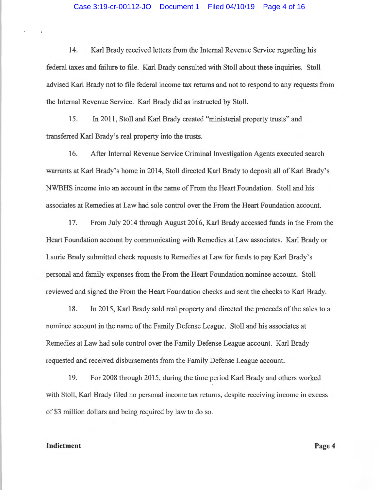14. Karl Brady received letters from the Internal Revenue Service regarding his federal taxes and failure to file. Karl Brady consulted with Stoll about these inquiries. Stoll advised Karl Brady not to file federal income tax returns and not to respond to any requests from the Internal Revenue Service. Karl Brady did as instructed by Stoll.

15. In 2011, Stoll and Karl Brady created "ministerial property trusts" and transferred Karl Brady's real property into the trusts.

16. After Internal Revenue Service Criminal Investigation Agents executed search warrants at Karl Brady's home in 2014, Stoll directed Karl Brady to deposit all of Karl Brady's NWBHS income into an account in the name of From the Heart Foundation. Stoll and his associates at Remedies at Law had sole control over the From the Heart Foundation account.

17. From July 2014 through August 2016, Karl Brady accessed funds in the From the Heart Foundation account by communicating with Remedies at Law associates. Karl Brady or Laurie Brady submitted check requests to Remedies at Law for funds to pay Karl Brady's personal and family expenses from the From the Heart Foundation nominee account. Stoll reviewed and signed the From the Heart Foundation checks and sent the checks to Karl Brady.

18. In 2015, Karl Brady sold real property and directed the proceeds of the sales to a nominee account in the name of the Family Defense League. Stoll and his associates at Remedies at Law had sole control over the Family Defense League account. Karl Brady requested and received disbursements from the Family Defense League account.

19. For 2008 through 2015, during the time period Karl Brady and others worked with Stoll, Karl Brady filed no personal income tax returns, despite receiving income in excess of \$3 million dollars and being required by law to do so.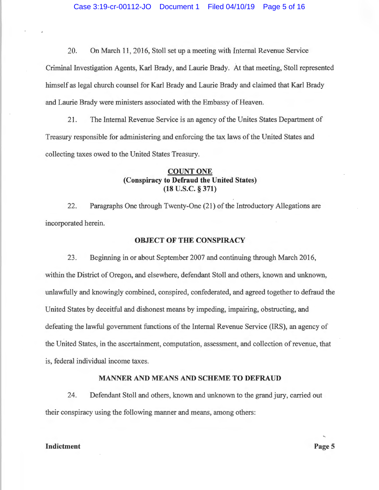20. On March 11, 2016, Stoll set up a meeting with Internal Revenue Service Criminal Investigation Agents, Karl Brady, and Laurie Brady. At that meeting, Stoll represented himself as legal church counsel for Karl Brady and Laurie Brady and claimed that Karl Brady and Laurie Brady were ministers associated with the Embassy of Heaven.

21. The Internal Revenue Service is an agency of the Unites States Department of Treasury responsible for administering and enforcing the tax laws of the United States and collecting taxes owed to the United States Treasury.

# **COUNT ONE (Conspiracy to Defraud the United States) (18 u.s.c. § 371)**

22. Paragraphs One through Twenty-One (21) of the Introductory Allegations are incorporated herein.

#### **OBJECT OF THE CONSPIRACY**

23. Beginning in or about September 2007 and continuing through March 2016, within the District of Oregon, and elsewhere, defendant Stoll and others, known and unknown, unlawfully and knowingly combined, conspired, confederated, and agreed together to defraud the United States by deceitful and dishonest means by impeding, impairing, obstructing, and defeating the lawful government functions of the Internal Revenue Service (IRS), an agency of the United States, in the ascertainment, computation, assessment, and collection of revenue, that is, federal individual income taxes.

#### **MANNER AND MEANS AND SCHEME TO DEFRAUD**

24. Defendant Stoll and others, known and unknown to the grand jury, carried out their conspiracy using the following manner and means, among others: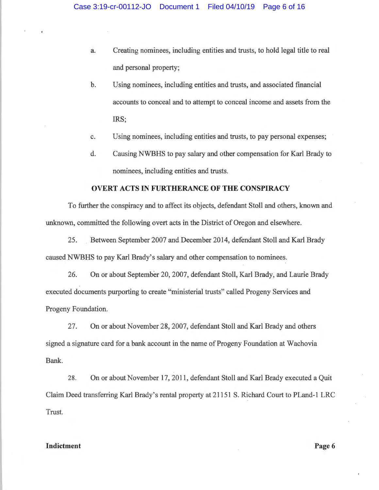- a. Creating nominees, including entities and trusts, to hold legal title to real and personal property;
- b. Using nominees, including entities and trusts, and associated financial accounts to conceal and to attempt to conceal income and assets from the IRS;
- c. Using nominees, including entities and trusts, to pay personal expenses;
- d. Causing NWBHS to pay salary and other compensation for Karl Brady to nominees, including entities and trusts.

#### **OVERT ACTS IN FURTHERANCE OF THE CONSPIRACY**

To further the conspiracy and to affect its objects, defendant Stoll and others, known and unknown, committed the following overt acts in the District of Oregon and elsewhere.

25. Between September 2007 and December 2014, defendant Stoll and Karl Brady caused NWBHS to pay Karl Brady's salary and other compensation to nominees.

26. On or about September 20, 2007, defendant Stoll, Karl Brady, and Laurie Brady executed documents purporting to create "ministerial trusts" called Progeny Services and Progeny Foundation.

27. On or about November 28, 2007, defendant Stoll and Karl Brady and others signed a signature card for a bank account in the name of Progeny Foundation at Wachovia Bank.

28. On or about November 17, 2011, defendant Stoll and Karl Brady executed a Quit Claim Deed transferring Karl Brady's rental property at 21151 S. Richard Court to PLand-1 LRC Trust.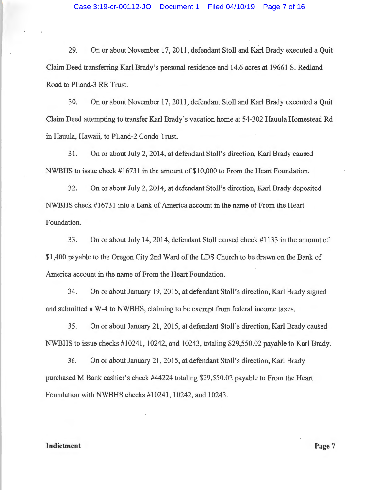29. On or about November 17, 2011, defendant Stoll and Karl Brady executed a Quit Claim Deed transferring Karl Brady's personal residence and 14.6 acres at 19661 S. Redland Road to PLand-3 RR Trust.

30. On or about November 17, 2011, defendant Stoll and Karl Brady executed a Quit Claim Deed attempting to transfer Karl Brady's vacation home at 54-302 Hauula Homestead Rd in Hauula, Hawaii, to PLand-2 Condo Trust.

31. On or about July 2, 2014, at defendant Stoll's direction, Karl Brady caused NWBHS to issue check #16731 in the amount of\$10,000 to From the Heart Foundation.

32. On or about July 2, 2014, at defendant Stoll's direction, Karl Brady deposited NWBHS check #16731 into a Bank of America account in the name of From the Heart Foundation.

33. On or about July 14, 2014, defendant Stoll caused check #1133 in the amount of \$1,400 payable to the Oregon City 2nd Ward of the LDS Church to be drawn on the Bank of America account in the name of From the Heart Foundation.

34. On or about January 19, 2015, at defendant Stoll's direction, Karl Brady signed and submitted a W-4 to NWBHS, claiming to be exempt from federal income taxes.

35. On or about January 21 , 2015, at defendant Stoll's direction, Karl Brady caused NWBHS to issue checks #10241, 10242, and 10243, totaling \$29,550.02 payable to Karl Brady.

36. On or about January 21, 2015, at defendant Stoll's direction, Karl Brady purchased M Bank cashier's check #44224 totaling \$29,550.02 payable to From the Heart Foundation with NWBHS checks #10241, 10242, and 10243.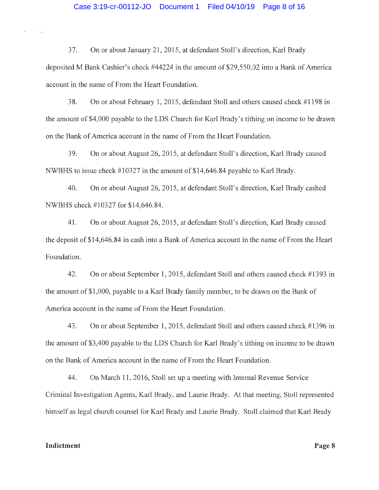37. On or about January 21, 2015, at defendant Stoll's direction, Karl Brady deposited M Bank Cashier's check #44224 in the amount of \$29,550.02 into a Bank of America account in the name of From the Heart Foundation.

38. On or about February 1, 2015, defendant Stoll and others caused check #1198 in the amount of \$4,000 payable to the LDS Church for Karl Brady's tithing on income to be drawn on the Bank of America account in the name of From the Heart Foundation.

39. On or about August 26, 2015, at defendant Stall's direction, Karl Brady caused NWBHS to issue check #10327 in the amount of \$14,646.84 payable to Karl Brady.

40. On or about August 26, 2015, at defendant Stall's direction, Karl Brady cashed NWBHS check #10327 for \$14,646.84.

41. On or about August 26, 2015, at defendant Stall's direction, Karl Brady caused the deposit of \$14,646.84 in cash into a Bank of America account in the name of From the Heart Foundation.

42. On or about September 1, 2015, defendant Stoll and others caused check #1393 in the amount of \$1,000, payable to a Karl Brady family member, to be drawn on the Bank of America account in the name of From the Heart Foundation.

43. On or about September 1, 2015, defendant Stoll and others caused check #1396 in the amount of \$3,400 payable to the LDS Church for Karl Brady's tithing on income to be drawn on the Bank of America account in the name of From the Heart Foundation.

44. On March 11, 2016, Stoll set up a meeting with Internal Revenue Service Criminal Investigation Agents, Karl Brady, and Laurie Brady. At that meeting, Stoll represented himself as legal church counsel for Karl Brady and Laurie Brady. Stoll claimed that Karl Brady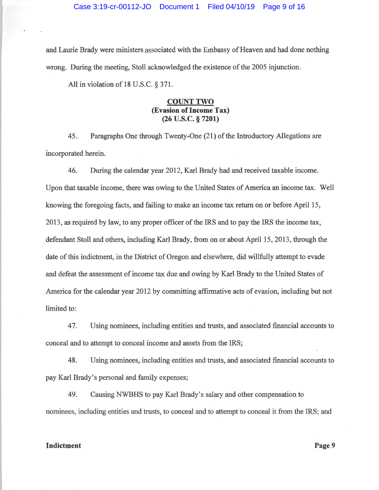#### Case 3:19-cr-00112-JO Document 1 Filed 04/10/19 Page 9 of 16

and Laurie Brady were ministers associated with the Embassy of Heaven and had done nothing wrong. During the meeting, Stoll acknowledged the existence of the 2005 injunction.

All in violation of 18 U.S.C. § 371.

## **COUNT TWO (Evasion of Income Tax) (26 u.s.c. § 7201)**

45. Paragraphs One through Twenty-One (21) of the Introductory Allegations are incorporated herein.

46. During the calendar year 2012, Karl Brady had and received taxable income. Upon that taxable income, there was owing to the United States of America an income tax. Well knowing the foregoing facts, and failing to make an income tax return on or before April 15, 2013, as required by law, to any proper officer of the IRS and to pay the IRS the income tax, defendant Stoll and others, including Karl Brady, from on or about April 15, 2013, through the date of this indictment, in the District of Oregon and elsewhere, did willfully attempt to evade and defeat the assessment of income tax due and owing by Karl Brady to the United States of America for the calendar year 2012 by committing affirmative acts of evasion, including but not limited to:

47. Using nominees, including entities and trusts, and associated financial accounts to conceal and to attempt to conceal income and assets from the IRS;

48. Using nominees, including entities and trusts, and associated financial accounts to pay Karl Brady's personal and family expenses;

49. Causing NWBHS to pay Karl Brady's salary and other compensation to nominees, including entities and trusts, to conceal and to attempt to conceal it from the IRS; and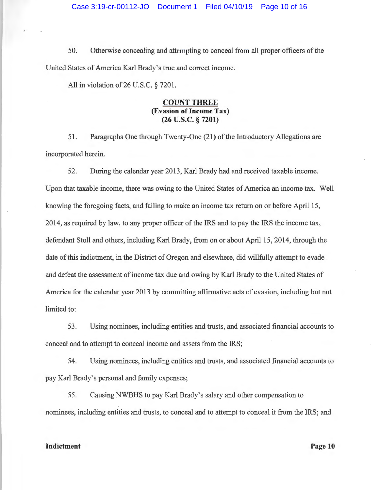50. Otherwise concealing and attempting to conceal from all proper officers of the United States of America Karl Brady's true and correct income.

All in violation of  $26$  U.S.C. § 7201.

# **COUNT THREE (Evasion of Income Tax) (26 u.s.c. § 7201)**

51. Paragraphs One through Twenty-One (21) of the Introductory Allegations are incorporated herein.

52. During the calendar year 2013, Karl Brady had and received taxable income. Upon that taxable income, there was owing to the United States of America an income tax. Well knowing the foregoing facts, and failing to make an income tax return on or before April 15, 2014, as required by law, to any proper officer of the IRS and to pay the IRS the income tax, defendant Stoll and others, including Karl Brady, from on or about April 15, 2014, through the date of this indictment, in the District of Oregon and elsewhere, did willfully attempt to evade and defeat the assessment of income tax due and owing by Karl Brady to the United States of America for the calendar year 2013 by committing affirmative acts of evasion, including but not limited to:

53. Using nominees, including entities and trusts, and associated financial accounts to conceal and to attempt to conceal income and assets from the IRS;

54. Using nominees, including entities and trusts, and associated financial accounts to pay Karl Brady's personal and family expenses;

55. Causing NWBHS to pay Karl Brady's salary and other compensation to nominees, including entities and trusts, to conceal and to attempt to conceal it from the IRS; and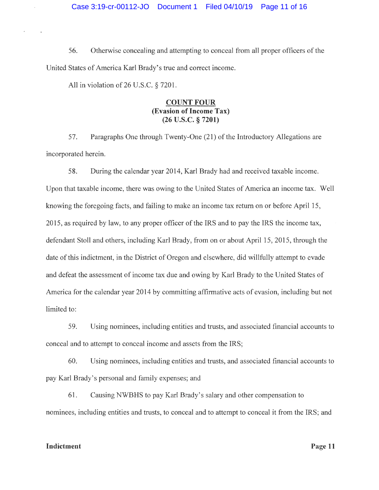56. Otherwise concealing and attempting to conceal from all proper officers of the United States of America Karl Brady's true and correct income.

All in violation of 26 U.S.C. § 7201.

# **COUNT FOUR (Evasion of Income Tax) (26 u.s.c. § 7201)**

57. Paragraphs One through Twenty-One (21) of the Introductory Allegations are incorporated herein.

58. During the calendar year 2014, Karl Brady had and received taxable income. Upon that taxable income, there was owing to the United States of America an income tax. Well knowing the foregoing facts, and failing to make an income tax return on or before April 15, 2015, as required by law, to any proper officer of the IRS and to pay the IRS the income tax, defendant Stoll and others, including Karl Brady, from on or about April 15, 2015, through the date of this indictment, in the District of Oregon and elsewhere, did willfully attempt to evade and defeat the assessment of income tax due and owing by Karl Brady to the United States of America for the calendar year 2014 by committing affirmative acts of evasion, including but not limited to:

59. Using nominees, including entities and trusts, and associated financial accounts to conceal and to attempt to conceal income and assets from the IRS;

60. Using nominees, including entities and trusts, and associated financial accounts to pay Karl Brady's personal and family expenses; and

61. Causing NWBHS to pay Karl Brady's salary and other compensation to nominees, including entities and trusts, to conceal and to attempt to conceal it from the IRS; and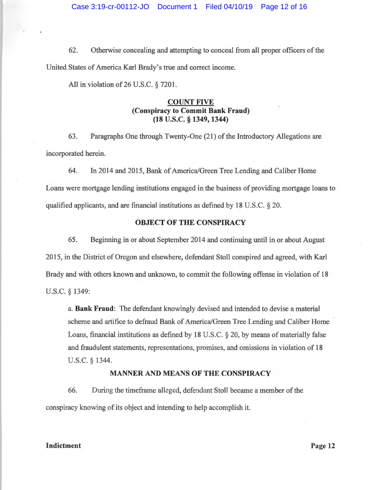62. Otherwise concealing and attempting to conceal from all proper officers of the United States of America Karl Brady's true and correct income.

All in violation of 26 U.S.C. § 7201.

# **COUNT FIVE (Conspiracy to Commit Bank Fraud) (18 u.s.c. § 1349, 1344)**

63 . Paragraphs One through Twenty-One (21) of the Introductory Allegations are incorporated herein.

64. In 2014 and 2015, Bank of America/Green Tree Lending and Caliber Home Loans were mortgage lending institutions engaged in the business of providing mortgage loans to qualified applicants, and are financial institutions as defined by 18 U.S.C. § 20.

# **OBJECT OF THE CONSPIRACY**

65. Beginning in or about September 2014 and continuing until in or about August 2015, in the District of Oregon and elsewhere, defendant Stoll conspired and agreed, with Karl Brady and with others known and unknown, to commit the following offense in violation of 18 U.S.C. § 1349:

a. **Bank Fraud:** The defendant knowingly devised and intended to devise a material scheme and artifice to defraud Bank of America/Green Tree Lending and Caliber Home Loans, financial institutions as defined by 18 U.S.C. § 20, by means of materially false and fraudulent statements, representations, promises, and omissions in violation of 18 U.S.C. § 1344.

### **MANNER AND MEANS OF THE CONSPIRACY**

66. During the timeframe alleged, defendant Stoll became a member of the conspiracy knowing of its object and intending to help accomplish it.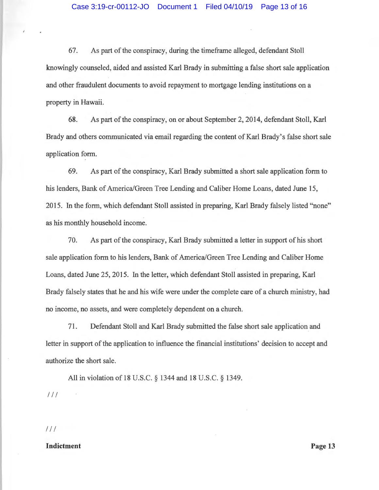67. As part of the conspiracy, during the timeframe alleged, defendant Stoll knowingly counseled, aided and assisted Karl Brady in submitting a false short sale application and other fraudulent documents to avoid repayment to mortgage lending institutions on a property in Hawaii.

68. As part of the conspiracy, on or about September 2, 2014, defendant Stoll, Karl Brady and others communicated via email regarding the content of Karl Brady's false short sale application form.

69. As part of the conspiracy, Karl Brady submitted a short sale application form to his lenders, Bank of America/Green Tree Lending and Caliber Home Loans, dated June 15, 2015. In the form, which defendant Stoll assisted in preparing, Karl Brady falsely listed "none" as his monthly household income.

70. As part of the conspiracy, Karl Brady submitted a letter in support of his short sale application form to his lenders, Bank of America/Green Tree Lending and Caliber Home Loans, dated June 25, 2015. In the letter, which defendant Stoll assisted in preparing, Karl Brady falsely states that he and his wife were under the complete care of a church ministry, had no income, no assets, and were completely dependent on a church.

71. Defendant Stoll and Karl Brady submitted the false short sale application and letter in support of the application to influence the financial institutions' decision to accept and authorize the short sale.

All in violation of 18 U.S.C. § 1344 and 18 U.S.C. § 1349.  $111$ 

# $111$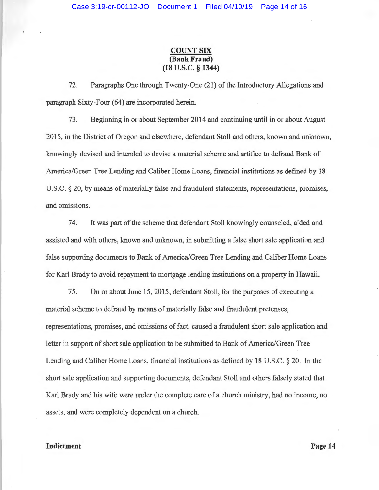# **COUNT SIX (Bank Fraud) (18 u.s.c. § 1344)**

72. Paragraphs One through Twenty-One (21) of the Introductory Allegations and paragraph Sixty-Four (64) are incorporated herein.

73. Beginning in or about September 2014 and continuing until in or about August 2015, in the District of Oregon and elsewhere, defendant Stoll and others, known and unknown, knowingly devised and intended to devise a material scheme and artifice to defraud Bank of America/Green Tree Lending and Caliber Home Loans, financial institutions as defined by 18 U.S.C. § 20, by means of materially false and fraudulent statements, representations, promises, and omissions.

74. It was part of the scheme that defendant Stoll knowingly counseled, aided and assisted and with others, known and unknown, in submitting a false short sale application and false supporting documents to Bank of America/Green Tree Lending and Caliber Home Loans for Karl Brady to avoid repayment to mortgage lending institutions on a property in Hawaii.

75. On or about June 15, 2015, defendant Stoll, for the purposes of executing a material scheme to defraud by means of materially false and fraudulent pretenses, representations, promises, and omissions of fact, caused a fraudulent short sale application and letter in support of short sale application to be submitted to Bank of America/Green Tree Lending and Caliber Home Loans, financial institutions as defined by 18 U.S.C. § 20. In the short sale application and supporting documents, defendant Stoll and others falsely stated that Karl Brady and his wife were under the complete care of a church ministry, had no income, no assets, and were completely dependent on a church.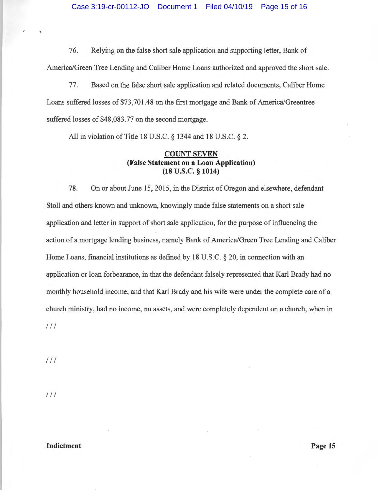76. Relying on the false short sale application and supporting letter, Bank of America/Green Tree Lending and Caliber Home Loans authorized and approved the short sale.

77. Based on the false short sale application and related documents, Caliber Home Loans suffered losses of \$73,701.48 on the first mortgage and Bank of America/Greentree suffered losses of \$48,083.77 on the second mortgage.

All in violation of Title 18 U.S.C. § 1344 and 18 U.S.C. § 2.

# **COUNT SEVEN (False Statement on a Loan Application) (18 u.s.c. § 1014)**

78. On or about June 15, 2015, in the District of Oregon and elsewhere, defendant Stoll and others known and unknown, knowingly made false statements on a short sale application and letter in support of short sale application, for the purpose of influencing the action of a mortgage lending business, namely Bank of America/Green Tree Lending and Caliber Home Loans, financial institutions as defined by 18 U.S.C. § 20, in connection with an application or loan forbearance, in that the defendant falsely represented that Karl Brady had no monthly household income, and that Karl Brady and his wife were under the complete care of a church ministry, had no income, no assets, and were completely dependent on a church, when in  $111$ 

 $111$ 

 $111$